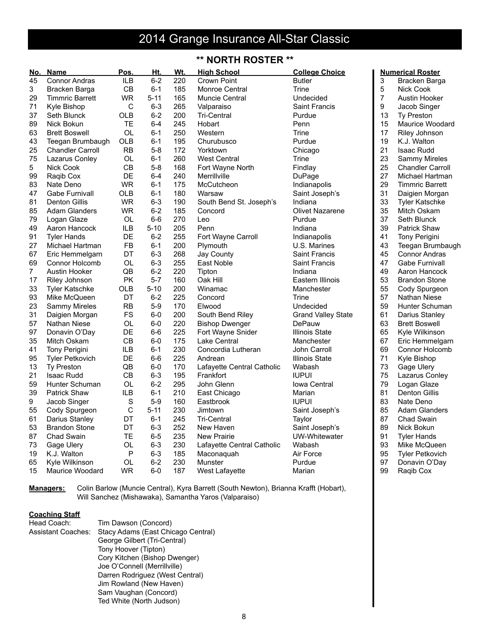# 2014 Grange Insurance All-Star Classic

### **\*\* NORTH ROSTER \*\***

| No. | Name                    | Pos.         | Ht.      | Wt. | <b>High School</b>         | <b>College Choice</b>     |                | <b>Numerical Roster</b> |
|-----|-------------------------|--------------|----------|-----|----------------------------|---------------------------|----------------|-------------------------|
| 45  | <b>Connor Andras</b>    | <b>ILB</b>   | $6 - 2$  | 220 | Crown Point                | <b>Butler</b>             | 3              | Bracken Barga           |
| 3   | Bracken Barga           | CВ           | $6 - 1$  | 185 | <b>Monroe Central</b>      | Trine                     | 5              | <b>Nick Cook</b>        |
| 29  | <b>Timmric Barrett</b>  | <b>WR</b>    | $5 - 11$ | 165 | Muncie Central             | Undecided                 | $\overline{7}$ | <b>Austin Hooker</b>    |
| 71  | Kyle Bishop             | $\mathsf C$  | $6 - 3$  | 265 | Valparaiso                 | <b>Saint Francis</b>      | 9              | Jacob Singer            |
| 37  | Seth Blunck             | OLB          | $6 - 2$  | 200 | <b>Tri-Central</b>         | Purdue                    | 13             | <b>Ty Preston</b>       |
| 89  | Nick Bokun              | <b>TE</b>    | $6 - 4$  | 245 | Hobart                     | Penn                      | 15             | Maurice Woodard         |
| 63  | <b>Brett Boswell</b>    | OL           | $6 - 1$  | 250 | Western                    | Trine                     | 17             | Riley Johnson           |
| 43  | Teegan Brumbaugh        | OLB          | $6 - 1$  | 195 | Churubusco                 | Purdue                    | 19             | K.J. Walton             |
| 25  | <b>Chandler Carroll</b> | <b>RB</b>    | $5 - 8$  | 172 | Yorktown                   | Chicago                   | 21             | <b>Isaac Rudd</b>       |
| 75  | Lazarus Conley          | OL           | $6 - 1$  | 260 | <b>West Central</b>        | Trine                     | 23             | <b>Sammy Mireles</b>    |
| 5   | Nick Cook               | CВ           | $5 - 8$  | 168 | Fort Wayne North           | Findlay                   | 25             | <b>Chandler Carroll</b> |
| 99  | Raqib Cox               | DE           | $6 - 4$  | 240 | Merrillville               | DuPage                    | 27             | Michael Hartman         |
| 83  | Nate Deno               | <b>WR</b>    | $6 - 1$  | 175 | McCutcheon                 | Indianapolis              | 29             | <b>Timmric Barrett</b>  |
| 47  | <b>Gabe Furnivall</b>   | OLB          | $6 - 1$  | 180 | Warsaw                     | Saint Joseph's            | 31             | Daigien Morgan          |
| 81  | <b>Denton Gillis</b>    | <b>WR</b>    | $6 - 3$  | 190 | South Bend St. Joseph's    | Indiana                   | 33             | <b>Tyler Katschke</b>   |
| 85  |                         | <b>WR</b>    | $6 - 2$  | 185 |                            | <b>Olivet Nazarene</b>    | 35             | Mitch Oskam             |
|     | <b>Adam Glanders</b>    |              | $6-6$    |     | Concord                    |                           | 37             |                         |
| 79  | Logan Glaze             | OL           |          | 270 | Leo                        | Purdue                    | 39             | Seth Blunck             |
| 49  | Aaron Hancock           | ILB          | $5 - 10$ | 205 | Penn                       | Indiana                   |                | <b>Patrick Shaw</b>     |
| 91  | <b>Tyler Hands</b>      | DE           | $6 - 2$  | 255 | Fort Wayne Carroll         | Indianapolis              | 41             | <b>Tony Perigini</b>    |
| 27  | Michael Hartman         | <b>FB</b>    | $6 - 1$  | 200 | Plymouth                   | U.S. Marines              | 43             | Teegan Brumbaugh        |
| 67  | Eric Hemmelgarn         | DT           | $6-3$    | 268 | Jay County                 | <b>Saint Francis</b>      | 45             | <b>Connor Andras</b>    |
| 69  | Connor Holcomb          | OL           | $6 - 3$  | 255 | East Noble                 | Saint Francis             | 47             | <b>Gabe Furnivall</b>   |
| 7   | <b>Austin Hooker</b>    | QB           | $6 - 2$  | 220 | Tipton                     | Indiana                   | 49             | Aaron Hancock           |
| 17  | Riley Johnson           | PK           | $5 - 7$  | 160 | Oak Hill                   | Eastern Illinois          | 53             | <b>Brandon Stone</b>    |
| 33  | <b>Tyler Katschke</b>   | OLB          | $5 - 10$ | 200 | Winamac                    | Manchester                | 55             | Cody Spurgeon           |
| 93  | Mike McQueen            | DT           | $6 - 2$  | 225 | Concord                    | Trine                     | 57             | Nathan Niese            |
| 23  | Sammy Mireles           | <b>RB</b>    | $5-9$    | 170 | Elwood                     | Undecided                 | 59             | Hunter Schuman          |
| 31  | Daigien Morgan          | <b>FS</b>    | $6-0$    | 200 | South Bend Riley           | <b>Grand Valley State</b> | 61             | Darius Stanley          |
| 57  | Nathan Niese            | <b>OL</b>    | $6-0$    | 220 | <b>Bishop Dwenger</b>      | DePauw                    | 63             | <b>Brett Boswell</b>    |
| 97  | Donavin O'Day           | DE           | $6-6$    | 225 | Fort Wayne Snider          | <b>Illinois State</b>     | 65             | Kyle Wilkinson          |
| 35  | Mitch Oskam             | CВ           | $6-0$    | 175 | Lake Central               | Manchester                | 67             | Eric Hemmelgarn         |
| 41  | Tony Perigini           | ILB          | $6 - 1$  | 230 | Concordia Lutheran         | John Carroll              | 69             | Connor Holcomb          |
| 95  | <b>Tyler Petkovich</b>  | DE           | $6-6$    | 225 | Andrean                    | Illinois State            | 71             | Kyle Bishop             |
| 13  | <b>Ty Preston</b>       | QB           | $6-0$    | 170 | Lafayette Central Catholic | Wabash                    | 73             | Gage Ulery              |
| 21  | <b>Isaac Rudd</b>       | CВ           | $6 - 3$  | 195 | Frankfort                  | <b>IUPUI</b>              | 75             | Lazarus Conley          |
| 59  | Hunter Schuman          | <b>OL</b>    | $6 - 2$  | 295 | John Glenn                 | <b>Iowa Central</b>       | 79             | Logan Glaze             |
| 39  | <b>Patrick Shaw</b>     | ILB          | $6 - 1$  | 210 | East Chicago               | Marian                    | 81             | <b>Denton Gillis</b>    |
| 9   | Jacob Singer            | S            | $5-9$    | 160 | Eastbrook                  | <b>IUPUI</b>              | 83             | Nate Deno               |
| 55  | Cody Spurgeon           | $\mathsf C$  | $5 - 11$ | 230 | Jimtown                    | Saint Joseph's            | 85             | <b>Adam Glanders</b>    |
| 61  | Darius Stanley          | DT           | $6 - 1$  | 245 | <b>Tri-Central</b>         | Taylor                    | 87             | Chad Swain              |
| 53  | <b>Brandon Stone</b>    | DT           | $6 - 3$  | 252 | New Haven                  | Saint Joseph's            | 89             | Nick Bokun              |
| 87  | Chad Swain              | <b>TE</b>    | $6-5$    | 235 | <b>New Prairie</b>         | <b>UW-Whitewater</b>      | 91             | <b>Tyler Hands</b>      |
| 73  | Gage Ulery              | OL           | $6 - 3$  | 230 | Lafayette Central Catholic | Wabash                    | 93             | Mike McQueen            |
| 19  | K.J. Walton             | $\mathsf{P}$ | $6 - 3$  | 185 | Maconaquah                 | Air Force                 | 95             | <b>Tyler Petkovich</b>  |
| 65  | Kyle Wilkinson          | OL           | $6 - 2$  | 230 | Munster                    | Purdue                    | 97             | Donavin O'Day           |
| 15  | Maurice Woodard         | <b>WR</b>    | $6-0$    | 187 | West Lafayette             | Marian                    | 99             | Raqib Cox               |
|     |                         |              |          |     |                            |                           |                |                         |

**Managers:** Colin Barlow (Muncie Central), Kyra Barrett (South Newton), Brianna Krafft (Hobart), Will Sanchez (Mishawaka), Samantha Yaros (Valparaiso)

#### **Coaching Staff**

| Head Coach:        | Tim Dawson (Concord)               |
|--------------------|------------------------------------|
| Assistant Coaches: | Stacy Adams (East Chicago Central) |
|                    | George Gilbert (Tri-Central)       |
|                    | Tony Hoover (Tipton)               |
|                    | Cory Kitchen (Bishop Dwenger)      |
|                    | Joe O'Connell (Merrillville)       |
|                    | Darren Rodriguez (West Central)    |
|                    | Jim Rowland (New Haven)            |
|                    | Sam Vaughan (Concord)              |
|                    | Ted White (North Judson)           |